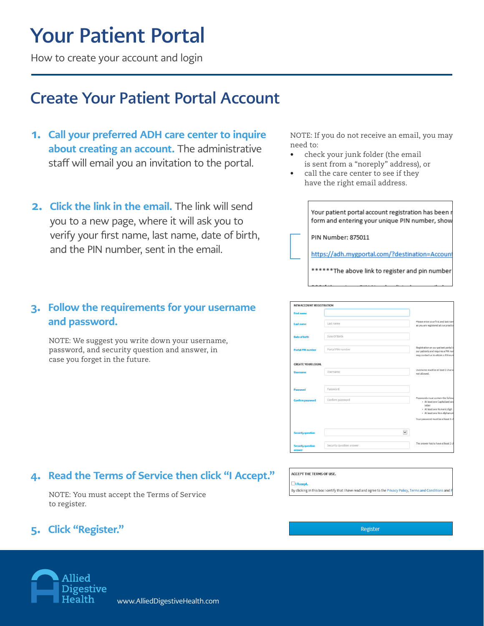# Your Patient Portal

How to create your account and login

### Create Your Patient Portal Account

- 1. Call your preferred ADH care center to inquire about creating an account. The administrative staff will email you an invitation to the portal.
- 2. Click the link in the email. The link will send you to a new page, where it will ask you to verify your first name, last name, date of birth, and the PIN number, sent in the email.

#### 3. Follow the requirements for your username and password.

NOTE: We suggest you write down your username, password, and security question and answer, in case you forget in the future.

### 4. Read the Terms of Service then click "I Accept."

NOTE: You must accept the Terms of Service to register.

### 5. Click "Register."

NOTE: If you do not receive an email, you may need to:

- check your junk folder (the email is sent from a "noreply" address), or
- call the care center to see if they have the right email address.

| Your patient portal account registration has been r<br>form and entering your unique PIN number, show |
|-------------------------------------------------------------------------------------------------------|
| PIN Number: 875011                                                                                    |
| https://adh.mygportal.com/?destination=Account                                                        |
| *The above link to register and pin number                                                            |

| NEW ACCOUNT REGISTRATION           |                          |                                                                                                                    |
|------------------------------------|--------------------------|--------------------------------------------------------------------------------------------------------------------|
| <b>First name</b>                  |                          |                                                                                                                    |
| <b>Last name</b>                   | Last name                | Please enter your first and last nam<br>as you are registered at our practice                                      |
| <b>Date of birth</b>               | Date Of Birth            |                                                                                                                    |
| <b>Portal PIN number</b>           | Portal PIN number        | Registration on our patient portal is<br>our patients and requires a PIN nun<br>may contact us to obtain a PIN num |
| <b>CREATE YOUR LOGIN.</b>          |                          |                                                                                                                    |
| Username                           | Username                 | Username must be at least 2 charad<br>not allowed.                                                                 |
| Password                           | Password                 |                                                                                                                    |
| <b>Confirm password</b>            | Confirm password         | Passwords must contain the follow<br>· At least one Capitalized and                                                |
|                                    |                          | letter<br>· At least one Numeric digit<br>- At least one Non-Alphanum                                              |
|                                    |                          | Your password must be at least 8 ch                                                                                |
| <b>Security question</b>           | $\checkmark$             |                                                                                                                    |
| <b>Security question</b><br>answer | Security question answer | The answer has to have at least 2 ch                                                                               |

#### ACCEPT THE TERMS OF USE.

 $\Box$ ia

By clicking in this box I certify that I have read and agree to the Privacy Policy, Terms and Conditions and

Register

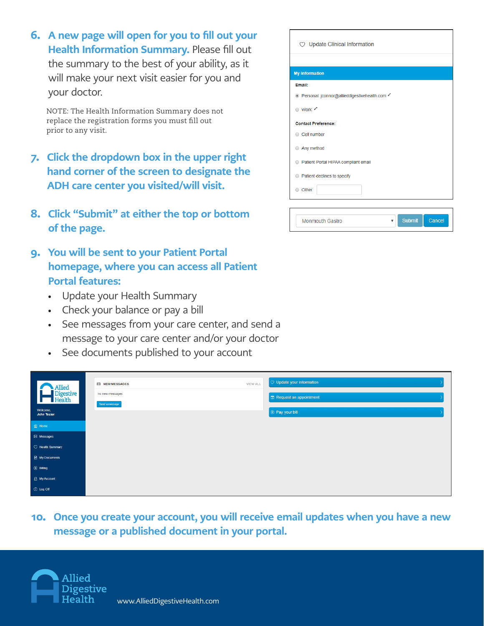6. A new page will open for you to fill out your Health Information Summary. Please fill out the summary to the best of your ability, as it will make your next visit easier for you and your doctor.

NOTE: The Health Information Summary does not replace the registration forms you must fill out prior to any visit.

- 7. Click the dropdown box in the upper right hand corner of the screen to designate the ADH care center you visited/will visit.
- 8. Click "Submit" at either the top or bottom of the page.
- 9. You will be sent to your Patient Portal homepage, where you can access all Patient Portal features:
	- Update your Health Summary
	- Check your balance or pay a bill
	- See messages from your care center, and send a message to your care center and/or your doctor
	- See documents published to your account

| Allied                  | <b>ES NEW MESSAGES</b> | $\heartsuit$ Update your information<br><b>VIEW ALL</b> |  |
|-------------------------|------------------------|---------------------------------------------------------|--|
| Digestive<br>Health     | no new messages        | Request an appointment                                  |  |
| Welcome,<br>John Tester | Send a message         | <sup>9</sup> Pay your bill                              |  |
| <b>當 Home</b>           |                        |                                                         |  |
| <b>ES Messages</b>      |                        |                                                         |  |
| C Health Summary        |                        |                                                         |  |
| My Documents            |                        |                                                         |  |
| <b>3</b> Billing        |                        |                                                         |  |
| A My Account            |                        |                                                         |  |
| <b>O</b> Log Off        |                        |                                                         |  |

10. Once you create your account, you will receive email updates when you have a new message or a published document in your portal.



| <b>My information</b>                         |
|-----------------------------------------------|
| Email:                                        |
| © Personal: jconnor@allieddigestivehealth.com |
| ● Work: A                                     |
| <b>Contact Preference:</b>                    |
| Cell number                                   |
| Any method                                    |
| Ratient Portal HIPAA compliant email          |
| Relient declines to specify                   |
| O Other:                                      |